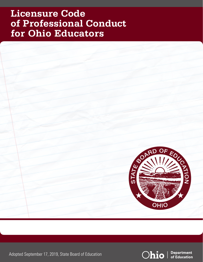# **Licensure Code of Professional Conduct for Ohio Educators**



Adopted September 17, 2019, State Board of Education



**Department** of Education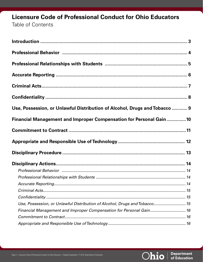# **Licensure Code of Professional Conduct for Ohio Educators** Table of Contents

| Use, Possession, or Unlawful Distribution of Alcohol, Drugs and Tobacco  9 |  |
|----------------------------------------------------------------------------|--|
| Financial Management and Improper Compensation for Personal Gain 10        |  |
|                                                                            |  |
|                                                                            |  |
|                                                                            |  |
|                                                                            |  |
|                                                                            |  |
|                                                                            |  |
|                                                                            |  |
|                                                                            |  |
|                                                                            |  |
| Use, Possession, or Unlawful Distribution of Alcohol, Drugs and Tobacco 15 |  |
| Financial Management and Improper Compensation for Personal Gain 16        |  |
|                                                                            |  |
|                                                                            |  |

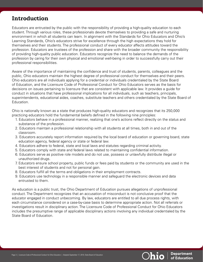# **Introduction**

Educators are entrusted by the public with the responsibility of providing a high-quality education to each student. Through various roles, these professionals devote themselves to providing a safe and nurturing environment in which all students can learn. In alignment with the Standards for Ohio Educators and Ohio's Learning Standards, Ohio's educators strive for excellence through the high expectations they hold for themselves and their students. The professional conduct of every educator affects attitudes toward the profession. Educators are trustees of the profession and share with the broader community the responsibility of providing high-quality public education. Educators recognize the need to balance the demands of the profession by caring for their own physical and emotional well-being in order to successfully carry out their professional responsibilities.

Aware of the importance of maintaining the confidence and trust of students, parents, colleagues and the public, Ohio educators maintain the highest degree of professional conduct for themselves and their peers. Ohio educators are all individuals applying for a credential or individuals credentialed by the State Board of Education, and the Licensure Code of Professional Conduct for Ohio Educators serves as the basis for decisions on issues pertaining to licensure that are consistent with applicable law. It provides a guide for conduct in situations that have professional implications for all individuals, such as teachers, principals, superintendents, educational aides, coaches, substitute teachers and others credentialed by the State Board of Education.

Ohio is nationally known as a state that produces high-quality educators and recognizes that its 250,000 practicing educators hold the fundamental beliefs defined in the following nine principles:

- 1. Educators behave in a professional manner, realizing that one's actions reflect directly on the status and substance of the profession.
- 2. Educators maintain a professional relationship with all students at all times, both in and out of the classroom.
- 3. Educators accurately report information required by the local board of education or governing board, state education agency, federal agency or state or federal law.
- 4. Educators adhere to federal, state and local laws and statutes regarding criminal activity.
- 5. Educators comply with state and federal laws related to maintaining confidential information.
- 6. Educators serve as positive role models and do not use, possess or unlawfully distribute illegal or unauthorized drugs.
- 7. Educators ensure school property, public funds or fees paid by students or the community are used in the best interest of students and not for personal gain.
- 8. Educators fulfill all the terms and obligations in their employment contracts.
- 9. Educators use technology in a responsible manner and safeguard the electronic devices and data entrusted to them.

As education is a public trust, the Ohio Department of Education pursues allegations of unprofessional conduct. The Department recognizes that an accusation of misconduct is not conclusive proof that the educator engaged in conduct unbecoming. By law, educators are entitled to all due process rights, with each circumstance considered on a case-by-case basis to determine appropriate action. Not all referrals or investigations result in disciplinary action. The Licensure Code of Professional Conduct for Ohio Educators includes the presumptive range of applicable disciplinary actions involving any individual credentialed by the State Board of Education.

**Department** 

of Education

Ohio I

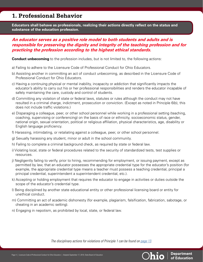# **1. Professional Behavior**

**Educators shall behave as professionals, realizing their actions directly reflect on the status and substance of the education profession.** 

### *An educator serves as a positive role model to both students and adults and is responsible for preserving the dignity and integrity of the teaching profession and for practicing the profession according to the highest ethical standards.*

**Conduct unbecoming** to the profession includes, but is not limited to, the following actions:

- a) Failing to adhere to the Licensure Code of Professional Conduct for Ohio Educators.
- b) Assisting another in committing an act of conduct unbecoming, as described in the Licensure Code of Professional Conduct for Ohio Educators.
- c) Having a continuing physical or mental inability, incapacity or addiction that significantly impacts the educator's ability to carry out his or her professional responsibilities and renders the educator incapable of safely maintaining the care, custody and control of students.
- d) Committing any violation of state or federal laws, statutes or rules although the conduct may not have resulted in a criminal charge, indictment, prosecution or conviction. (Except as noted in Principle 6(b), this does not include traffic violations.)
- e) Disparaging a colleague, peer, or other school personnel while working in a professional setting (teaching, coaching, supervising or conferencing) on the basis of race or ethnicity, socioeconomic status, gender, national origin, sexual orientation, political or religious affiliation, physical characteristics, age, disability or English language proficiency.
- f) Harassing, intimidating, or retaliating against a colleague, peer, or other school personnel.
- g) Sexually harassing any student, minor or adult in the school community.
- h) Failing to complete a criminal background check, as required by state or federal law.
- i) Violating local, state or federal procedures related to the security of standardized tests, test supplies or resources.
- j) Negligently failing to verify, prior to hiring, recommending for employment, or issuing payment, except as permitted by law, that an educator possesses the appropriate credential type for the educator's position (for example, the appropriate credential type means a teacher must possess a teaching credential, principal a principal credential, superintendent a superintendent credential, etc.).
- k) Accepting or holding employment that requires the educator to engage in activities or duties outside the scope of the educator's credential type.
- l) Being disciplined by another state educational entity or other professional licensing board or entity for unethical conduct.
- m) Committing an act of academic dishonesty (for example, plagiarism, falsification, fabrication, sabotage, or cheating in an academic setting).
- n) Engaging in nepotism, as prohibited by local, state, or federal law.

*The disciplinary actions for violations of Principle 1 can be found on [page 13.](#page-13-0)*



**Department**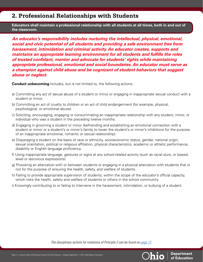# **2. Professional Relationships with Students**

**Educators shall maintain a professional relationship with all students at all times, both in and out of the classroom.** 

*An educator's responsibility includes nurturing the intellectual, physical, emotional, social and civic potential of all students and providing a safe environment free from harassment, intimidation and criminal activity. An educator creates, supports and maintains an appropriate learning environment for all students and fulfills the roles of trusted confidant, mentor and advocate for students' rights while maintaining appropriate professional, emotional and social boundaries. An educator must serve as a champion against child abuse and be cognizant of student behaviors that suggest abuse or neglect.* 

**Conduct unbecoming** includes, but is not limited to, the following actions:

- a) Committing any act of sexual abuse of a student or minor or engaging in inappropriate sexual conduct with a student or minor.
- b) Committing an act of cruelty to children or an act of child endangerment (for example, physical, psychological, or emotional abuse).
- c) Soliciting, encouraging, engaging or consummating an inappropriate relationship with any student, minor, or individual who was a student in the preceding twelve months.
- d) Engaging in grooming a student or minor (befriending and establishing an emotional connection with a student or minor or a student's or minor's family to lower the student's or minor's inhibitions for the purpose of an inappropriate emotional, romantic or sexual relationship).
- e) Disparaging a student on the basis of race or ethnicity, socioeconomic status, gender, national origin, sexual orientation, political or religious affiliation, physical characteristics, academic or athletic performance, disability or English language proficiency.
- f) Using inappropriate language, gestures or signs at any school-related activity (such as racial slurs, or biased, lewd or lascivious expressions).
- g) Provoking an altercation with or between students or engaging in a physical altercation with students that is not for the purpose of ensuring the health, safety, and welfare of students.
- h) Failing to provide appropriate supervision of students, within the scope of the educator's official capacity, which risks the health, safety and welfare of students or others in the school community.
- i) Knowingly contributing to or failing to intervene in the harassment, intimidation, or bullying of a student.

*The disciplinary actions for violations of Principle 2 can be found on [page 13.](#page-13-0)* 





**Department**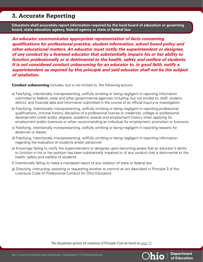# **3. Accurate Reporting**

**Educators shall accurately report information required by the local board of education or governing board, state education agency, federal agency or state or federal law.** 

*An educator communicates appropriate representation of facts concerning qualifications for professional practice, student information, school board policy and other educational matters. An educator must notify the superintendent or designee, of any conduct by a licensed educator that substantially impairs his or her ability to function professionally or is detrimental to the health, safety and welfare of students. It is not considered conduct unbecoming for an educator to, in good faith, notify a superintendent as required by this principle and said educator shall not be the subject of retaliation.*

**Conduct unbecoming** includes, but is not limited to, the following actions:

- a) Falsifying, intentionally misrepresenting, willfully omitting or being negligent in reporting information submitted to federal, state and other governmental agencies including, but not limited to, staff, student, district, and financial data and information submitted in the course of an official inquiry or investigation.
- b) Falsifying, intentionally misrepresenting, willfully omitting or being negligent in reporting professional qualifications, criminal history, discipline of a professional license or credential, college or professional development credit and/or degrees, academic awards and employment history when applying for employment and/or licensure or when recommending an individual for employment, promotion or licensure.
- c) Falsifying, intentionally misrepresenting, willfully omitting or being negligent in reporting reasons for absences or leaves.
- d) Falsifying, intentionally misrepresenting, willfully omitting or being negligent in reporting information regarding the evaluation of students and/or personnel.
- e) Knowingly failing to notify the superintendent or designee upon becoming aware that an educator's ability to function in his or her position has been substantially impaired or of any conduct that is detrimental to the health, safety and welfare of students.
- f) Intentionally failing to make a mandated report of any violation of state or federal law.
- g) Directing, instructing, assisting or requesting another to commit an act described in Principle 3 of the Licensure Code of Professional Conduct for Ohio Educators.

*The disciplinary actions for violations of Principle 3 can be found on [page 13.](#page-13-0)*

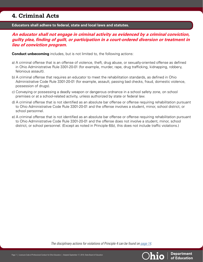# **4. Criminal Acts**

**Educators shall adhere to federal, state and local laws and statutes.** 

### *An educator shall not engage in criminal activity as evidenced by a criminal conviction, guilty plea, finding of guilt, or participation in a court-ordered diversion or treatment in lieu of conviction program.*

**Conduct unbecoming** includes, but is not limited to, the following actions:

- a) A criminal offense that is an offense of violence, theft, drug abuse, or sexually-oriented offense as defined in Ohio Administrative Rule 3301-20-01 (for example, murder, rape, drug trafficking, kidnapping, robbery, felonious assault).
- b) A criminal offense that requires an educator to meet the rehabilitation standards, as defined in Ohio Administrative Code Rule 3301-20-01 (for example, assault, passing bad checks, fraud, domestic violence, possession of drugs).
- c) Conveying or possessing a deadly weapon or dangerous ordnance in a school safety zone, on school premises or at a school-related activity, unless authorized by state or federal law.
- d) A criminal offense that is not identified as an absolute bar offense or offense requiring rehabilitation pursuant to Ohio Administrative Code Rule 3301-20-01 and the offense involves a student, minor, school district, or school personnel.
- e) A criminal offense that is not identified as an absolute bar offense or offense requiring rehabilitation pursuant to Ohio Administrative Code Rule 3301-20-01 and the offense does not involve a student, minor, school district, or school personnel. (Except as noted in Principle 6(b), this does not include traffic violations.)

*The disciplinary actions for violations of Principle 4 can be found on [page 14.](#page-14-0)*

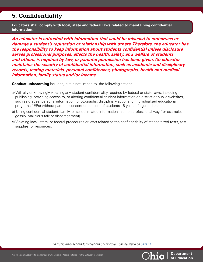# **5. Confidentiality**

**Educators shall comply with local, state and federal laws related to maintaining confidential information.**

*An educator is entrusted with information that could be misused to embarrass or damage a student's reputation or relationship with others. Therefore, the educator has the responsibility to keep information about students confidential unless disclosure serves professional purposes, affects the health, safety, and welfare of students and others, is required by law, or parental permission has been given. An educator maintains the security of confidential information, such as academic and disciplinary records, testing materials, personal confidences, photographs, health and medical information, family status and/or income.* 

**Conduct unbecoming** includes, but is not limited to, the following actions:

- a) Willfully or knowingly violating any student confidentiality required by federal or state laws, including publishing, providing access to, or altering confidential student information on district or public websites, such as grades, personal information, photographs, disciplinary actions, or individualized educational programs (IEPs) without parental consent or consent of students 18 years of age and older.
- b) Using confidential student, family, or school-related information in a non-professional way (for example, gossip, malicious talk or disparagement).
- c) Violating local, state, or federal procedures or laws related to the confidentiality of standardized tests, test supplies, or resources.

*The disciplinary actions for violations of Principle 5 can be found on [page 14.](#page-14-0)* 



**Department**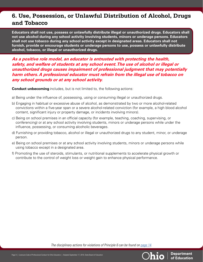# **6. Use, Possession, or Unlawful Distribution of Alcohol, Drugs and Tobacco**

**Educators shall not use, possess or unlawfully distribute illegal or unauthorized drugs. Educators shall not use alcohol during any school activity involving students, minors or underage persons. Educators shall not use tobacco during any school activity except in designated areas. Educators shall not furnish, provide or encourage students or underage persons to use, possess or unlawfully distribute alcohol, tobacco, or illegal or unauthorized drugs.**

*As a positive role model, an educator is entrusted with protecting the health, safety, and welfare of students at any school event. The use of alcohol or illegal or unauthorized drugs causes impairment of professional judgment that may potentially harm others. A professional educator must refrain from the illegal use of tobacco on any school grounds or at any school activity.* 

**Conduct unbecoming** includes, but is not limited to, the following actions:

- a) Being under the influence of, possessing, using or consuming illegal or unauthorized drugs.
- b) Engaging in habitual or excessive abuse of alcohol, as demonstrated by two or more alcohol-related convictions within a five-year span or a severe alcohol-related conviction (for example, a high blood alcohol content, significant injury or property damage, or incidents involving minors).
- c) Being on school premises in an official capacity (for example, teaching, coaching, supervising, or conferencing) or at any school activity involving students, minors or underage persons while under the influence, possessing, or consuming alcoholic beverages.
- d) Furnishing or providing tobacco, alcohol or illegal or unauthorized drugs to any student, minor, or underage person.
- e) Being on school premises or at any school activity involving students, minors or underage persons while using tobacco except in a designated area.
- f) Promoting the use of steroids, stimulants, or nutritional supplements to accelerate physical growth or contribute to the control of weight loss or weight gain to enhance physical performance.

*The disciplinary actions for violations of Principle 6 can be found on [page 14.](#page-14-0)*



**Department**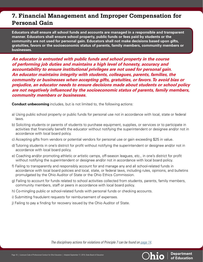# **7. Financial Management and Improper Compensation for Personal Gain**

**Educators shall ensure all school funds and accounts are managed in a responsible and transparent manner. Educators shall ensure school property, public funds or fees paid by students or the community are not used for personal gain. Educators shall not make decisions based upon gifts, gratuities, favors or the socioeconomic status of parents, family members, community members or businesses.**

*An educator is entrusted with public funds and school property in the course of performing job duties and maintains a high level of honesty, accuracy and accountability to ensure institutional privileges are not used for personal gain. An educator maintains integrity with students, colleagues, parents, families, the community or businesses when accepting gifts, gratuities, or favors. To avoid bias or prejudice, an educator needs to ensure decisions made about students or school policy are not negatively influenced by the socioeconomic status of parents, family members, community members or businesses.* 

**Conduct unbecoming** includes, but is not limited to, the following actions:

- a) Using public school property or public funds for personal use not in accordance with local, state or federal laws.
- b) Soliciting students or parents of students to purchase equipment, supplies, or services or to participate in activities that financially benefit the educator without notifying the superintendent or designee and/or not in accordance with local board policy.
- c) Accepting gifts from vendors or potential vendors for personal use or gain exceeding \$25 in value.
- d) Tutoring students in one's district for profit without notifying the superintendent or designee and/or not in accordance with local board policy.
- e) Coaching and/or promoting athletic or artistic camps, off-season leagues, etc., in one's district for profit without notifying the superintendent or designee and/or not in accordance with local board policy.
- f) Failing to transparently and responsibly account for and manage any and all school-related funds in accordance with local board policies and local, state, or federal laws, including rules, opinions, and bulletins promulgated by the Ohio Auditor of State or the Ohio Ethics Commission.
- g) Failing to account for funds related to school activities collected from students, parents, family members, community members, staff or peers in accordance with local board policy.
- h) Co-mingling public or school-related funds with personal funds or checking accounts.
- i) Submitting fraudulent requests for reimbursement of expenses.
- j) Failing to pay a finding for recovery issued by the Ohio Auditor of State.

*The disciplinary actions for violations of Principle 7 can be found on [page 14.](#page-14-0)*

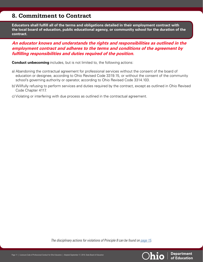## **8. Commitment to Contract**

**Educators shall fulfill all of the terms and obligations detailed in their employment contract with the local board of education, public educational agency, or community school for the duration of the contract.** 

#### *An educator knows and understands the rights and responsibilities as outlined in the employment contract and adheres to the terms and conditions of the agreement by fulfilling responsibilities and duties required of the position.*

**Conduct unbecoming** includes, but is not limited to, the following actions:

- a) Abandoning the contractual agreement for professional services without the consent of the board of education or designee, according to Ohio Revised Code 3319.15, or without the consent of the community school's governing authority or operator, according to Ohio Revised Code 3314.103.
- b) Willfully refusing to perform services and duties required by the contract, except as outlined in Ohio Revised Code Chapter 4117.
- c) Violating or interfering with due process as outlined in the contractual agreement.

*The disciplinary actions for violations of Principle 8 can be found on [page 15.](#page-15-0)* 



**Department**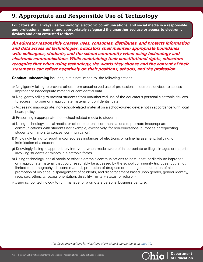# **9. Appropriate and Responsible Use of Technology**

**Educators shall always use technology, electronic communications, and social media in a responsible and professional manner and appropriately safeguard the unauthorized use or access to electronic devices and data entrusted to them.** 

*An educator responsibly creates, uses, consumes, distributes, and protects information and data across all technologies. Educators shall maintain appropriate boundaries with colleagues, students, and the school community when using technology and electronic communications. While maintaining their constitutional rights, educators recognize that when using technology, the words they choose and the content of their statements can reflect negatively on their positions, schools, and the profession.* 

**Conduct unbecoming** includes, but is not limited to, the following actions:

- a) Negligently failing to prevent others from unauthorized use of professional electronic devices to access improper or inappropriate material or confidential data.
- b) Negligently failing to prevent students from unauthorized use of the educator's personal electronic devices to access improper or inappropriate material or confidential data.
- c) Accessing inappropriate, non-school-related material on a school-owned device not in accordance with local board policy.
- d) Presenting inappropriate, non-school-related media to students.
- e) Using technology, social media, or other electronic communications to promote inappropriate communications with students (for example, excessively, for non-educational purposes or requesting students or minors to conceal communication).
- f) Knowingly failing to report and/or address instances of electronic or online harassment, bullying, or intimidation of a student.
- g) Knowingly failing to appropriately intervene when made aware of inappropriate or illegal images or material involving students or minors in electronic forms.
- h) Using technology, social media or other electronic communications to host, post, or distribute improper or inappropriate material that could reasonably be accessed by the school community (includes, but is not limited to, pornography, obscene material, promotion of drug use or underage consumption of alcohol, promotion of violence, disparagement of students, and disparagement based upon gender, gender identity, race, sex, ethnicity, sexual orientation, disability, military status, or religion).
- i) Using school technology to run, manage, or promote a personal business venture.

*The disciplinary actions for violations of Principle 9 can be found on [page 15.](#page-15-0)*



**Department**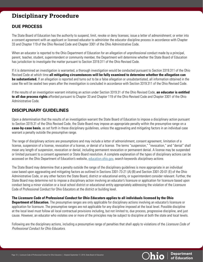# **Disciplinary Procedure**

### **DUE PROCESS**

The State Board of Education has the authority to suspend, limit, revoke or deny licenses; issue a letter of admonishment; or enter into a consent agreement with an applicant or licensed educator to administer the educator discipline process in accordance with Chapter 33 and Chapter 119 of the Ohio Revised Code and Chapter 3301 of the Ohio Administrative Code.

When an educator is reported to the Ohio Department of Education for an allegation of unprofessional conduct made by a principal, parent, teacher, student, superintendent or community member, the Department will determine whether the State Board of Education has jurisdiction to investigate the matter pursuant to Section 3319.311 of the Ohio Revised Code.

If it is determined an investigation is warranted, a thorough investigation would be conducted pursuant to Section 3319.311 of the Ohio Revised Code at which time **all mitigating circumstances will be fully examined to determine whether the allegation can be substantiated.** If an allegation is reported and turns out to be a false allegation or unsubstantiated, all information obtained in the case file will be sealed two years after the investigation is concluded in accordance with Section 3319.311 of the Ohio Revised Code.

If the results of an investigation warrant initiating an action under Section 3319.31 of the Ohio Revised Code, **an educator is entitled to all due process rights** afforded pursuant to Chapter 33 and Chapter 119 of the Ohio Revised Code and Chapter 3301 of the Ohio Administrative Code.

### **DISCIPLINARY GUIDELINES**

Upon a determination that the results of an investigation warrant the State Board of Education to impose a disciplinary action pursuant to Section 3319.31 of the Ohio Revised Code, the State Board may impose an appropriate penalty within the presumptive range on a **case-by-case basis**, as set forth in these disciplinary guidelines, unless the aggravating and mitigating factors in an individual case warrant a penalty outside the presumptive range.

The range of disciplinary actions are presumptions and may include a letter of admonishment, consent agreement, limitation of a license, suspension of a license, revocation of a license, or denial of a license. The terms "suspension," "revocation," and "denial" shall mean any length of suspension, revocation or denial, including permanent revocation or permanent denial. A license may be suspended or limited pursuant to a consent agreement or State Board resolution. A complete explanation of the types of disciplinary actions can be accessed on the Ohio Department of Education's website, [education.ohio.gov,](http://education.ohio.gov) search keywords *disciplinary actions*.

The State Board may determine that a penalty outside the range of the disciplinary guidelines is more appropriate in an individual case based upon aggravating and mitigating factors as outlined in Sections 3301-73-21 (A) (B) and Section 3301-20-01 (E) of the Ohio Administrative Code, or any other factors the State Board, district or educational entity, or superintendent consider relevant. Further, the State Board may determine not to impose a disciplinary action involving an educator's licensure or application for licensure based upon conduct being a minor violation or a local school district or educational entity appropriately addressing the violation of the Licensure Code of Professional Conduct for Ohio Educators at the district or building level.

**The Licensure Code of Professional Conduct for Ohio Educators applies to all individuals licensed by the Ohio Department of Education.** The presumptive ranges are only applicable for disciplinary actions involving an educator's licensure or application for licensure. The presumptive ranges are not applicable for any discipline imposed at the local level. Possible discipline at the local level must follow all local contractual provisions including, but not limited to, due process, progressive discipline, and just cause. However, an educator who violates one or more of the principles may be subject to discipline at both the state and local levels.

Following are the disciplinary actions, including a presumptive range of penalties that shall apply to violations of the *Licensure Code of Professional Conduct for Ohio Educators*.

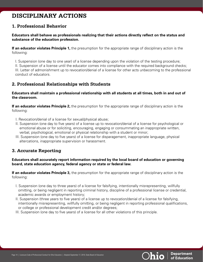# <span id="page-13-0"></span>**DISCIPLINARY ACTIONS**

### **1. Professional Behavior**

#### **Educators shall behave as professionals realizing that their actions directly reflect on the status and substance of the education profession.**

**If an educator violates Principle 1,** the presumption for the appropriate range of disciplinary action is the following:

I. Suspension (one day to one year) of a license depending upon the violation of the testing procedure; II. Suspension of a license until the educator comes into compliance with the required background checks; III. Letter of admonishment up to revocation/denial of a license for other acts unbecoming to the professional conduct of educators.

#### **2. Professional Relationships with Students**

#### **Educators shall maintain a professional relationship with all students at all times, both in and out of the classroom.**

**If an educator violates Principle 2,** the presumption for the appropriate range of disciplinary action is the following:

- I. Revocation/denial of a license for sexual/physical abuse;
- II. Suspension (one day to five years) of a license up to revocation/denial of a license for psychological or emotional abuse or for soliciting, encouraging, engaging or consummating an inappropriate written, verbal, psychological, emotional or physical relationship with a student or minor;
- III. Suspension (one day to five years) of a license for disparagement, inappropriate language, physical altercations, inappropriate supervision or harassment.

### **3. Accurate Reporting**

#### **Educators shall accurately report information required by the local board of education or governing board, state education agency, federal agency or state or federal law.**

**If an educator violates Principle 3,** the presumption for the appropriate range of disciplinary action is the following:

- I. Suspension (one day to three years) of a license for falsifying, intentionally misrepresenting, willfully omitting, or being negligent in reporting criminal history, discipline of a professional license or credential, academic awards or employment history;
- II. Suspension (three years to five years) of a license up to revocation/denial of a license for falsifying, intentionally misrepresenting, willfully omitting, or being negligent in reporting professional qualifications, or college or professional development credit and/or degrees;
- III. Suspension (one day to five years) of a license for all other violations of this principle.

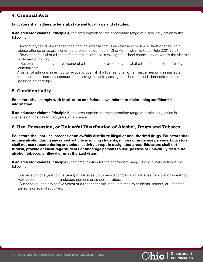### <span id="page-14-0"></span>**4. Criminal Acts**

#### **Educators shall adhere to federal, state and local laws and statutes.**

**If an educator violates Principle 4,** the presumption for the appropriate range of disciplinary action is the following:

- I. Revocation/denial of a license for a criminal offense that is an offense of violence, theft offense, drug abuse offense or sexually oriented offense, as defined in Ohio Administrative Code Rule 3301-20-01;
- II. Revocation/denial of a license for a criminal offense involving the school community or where the victim is a student or minor;
- III. Suspension (one day to five years) of a license up to revocation/denial of a license for all other felony criminal acts;
- IV. Letter of admonishment up to revocation/denial of a license for all other misdemeanor criminal acts (for example, disorderly conduct, trespassing, assault, passing bad checks, fraud, domestic violence, possession of drugs).

#### **5. Confidentiality**

#### **Educators shall comply with local, state and federal laws related to maintaining confidential information.**

**If an educator violates Principle 5,** the presumption for the appropriate range of disciplinary action is suspension (one day to two years) of a license.

#### **6. Use, Possession, or Unlawful Distribution of Alcohol, Drugs and Tobacco**

**Educators shall not use, possess or unlawfully distribute illegal or unauthorized drugs. Educators shall not use alcohol during any school activity involving students, minors or underage persons. Educators shall not use tobacco during any school activity except in designated areas. Educators shall not furnish, provide or encourage students or underage persons to use, possess or unlawfully distribute alcohol, tobacco, or illegal or unauthorized drugs**

**If an educator violates Principle 6,** the presumption for the appropriate range of disciplinary action is the following:

- I. Suspension (one year to five years) of a license up to revocation/denial of a license for violations dealing with students, minors, or underage persons or school activities;
- II. Suspension (one day to five years) of a license for misuses unrelated to students, minors, or underage persons or school activities.

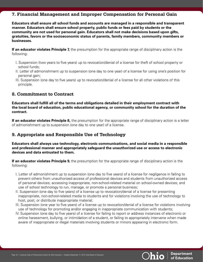#### <span id="page-15-0"></span>**7. Financial Management and Improper Compensation for Personal Gain**

**Educators shall ensure all school funds and accounts are managed in a responsible and transparent manner. Educators shall ensure school property, public funds or fees paid by students or the community are not used for personal gain. Educators shall not make decisions based upon gifts, gratuities, favors or the socioeconomic status of parents, family members, community members or businesses.** 

**If an educator violates Principle 7,** the presumption for the appropriate range of disciplinary action is the following:

- I. Suspension (two years to five years) up to revocation/denial of a license for theft of school property or school funds;
- II. Letter of admonishment up to suspension (one day to one year) of a license for using one's position for personal gain;
- III. Suspension (one day to five years) up to revocation/denial of a license for all other violations of this principle.

#### **8. Commitment to Contract**

**Educators shall fulfill all of the terms and obligations detailed in their employment contract with the local board of education, public educational agency, or community school for the duration of the contract.** 

**If an educator violates Principle 8,** the presumption for the appropriate range of disciplinary action is a letter of admonishment up to suspension (one day to one year) of a license.

### **9. Appropriate and Responsible Use of Technology**

**Educators shall always use technology, electronic communications, and social media in a responsible and professional manner and appropriately safeguard the unauthorized use or access to electronic devices and data entrusted to them.** 

**If an educator violates Principle 9,** the presumption for the appropriate range of disciplinary action is the following:

- I. Letter of admonishment up to suspension (one day to five years) of a license for negligence in failing to prevent others from unauthorized access of professional devices and students from unauthorized access of personal devices; accessing inappropriate, non-school-related material on school-owned devices; and use of school technology to run, manage, or promote a personal business;
- II. Suspension (one day to five years) of a license up to revocation/denial of a license for presenting inappropriate, non-school-related media to students and for violations involving the use of technology to host, post, or distribute inappropriate material;
- III. Suspension (one year to five years) of a license up to revocation/denial of a license for violations involving use of technology for promoting and/or engaging in inappropriate communication with students;
- IV. Suspension (one day to five years) of a license for failing to report or address instances of electronic or online harassment, bullying, or intimidation of a student, or failing to appropriately intervene when made aware of inappropriate or illegal materials involving students or minors appearing in electronic form.

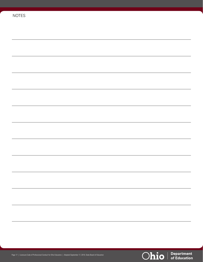| <b>NOTES</b> |  |
|--------------|--|
|              |  |
|              |  |
|              |  |
|              |  |
|              |  |
|              |  |
|              |  |
|              |  |
|              |  |
|              |  |
|              |  |
|              |  |
|              |  |
|              |  |
|              |  |
|              |  |
|              |  |
|              |  |
|              |  |
|              |  |
|              |  |
|              |  |
|              |  |

Ohio | Department